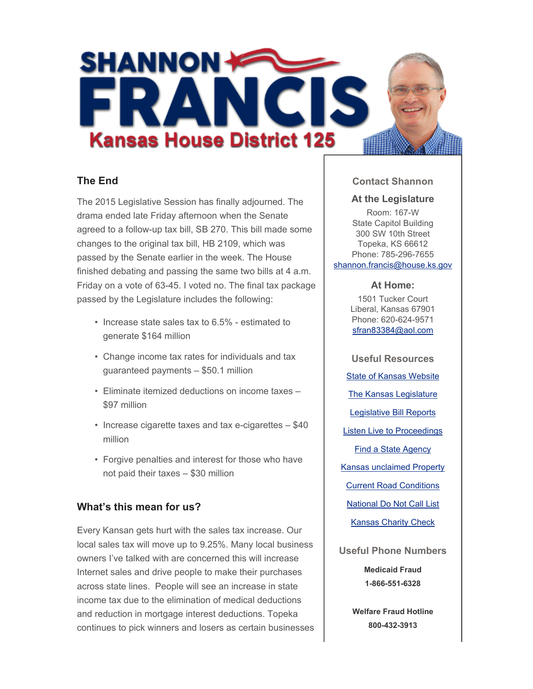

# **The End**

The 2015 Legislative Session has finally adjourned. The drama ended late Friday afternoon when the Senate agreed to a follow-up tax bill, SB 270. This bill made some changes to the original tax bill, HB 2109, which was passed by the Senate earlier in the week. The House finished debating and passing the same two bills at 4 a.m. Friday on a vote of 63-45. I voted no. The final tax package passed by the Legislature includes the following:

- Increase state sales tax to 6.5% estimated to generate \$164 million
- Change income tax rates for individuals and tax guaranteed payments – \$50.1 million
- Eliminate itemized deductions on income taxes \$97 million
- Increase cigarette taxes and tax e-cigarettes \$40 million
- Forgive penalties and interest for those who have not paid their taxes – \$30 million

## **What's this mean for us?**

Every Kansan gets hurt with the sales tax increase. Our local sales tax will move up to 9.25%. Many local business owners I've talked with are concerned this will increase Internet sales and drive people to make their purchases across state lines. People will see an increase in state income tax due to the elimination of medical deductions and reduction in mortgage interest deductions. Topeka continues to pick winners and losers as certain businesses

### **Contact Shannon**

#### **At the Legislature**

Room: 167-W State Capitol Building 300 SW 10th Street Topeka, KS 66612 Phone: 785-296-7655 shannon.francis@house.ks.gov

#### **At Home:**

1501 Tucker Court Liberal, Kansas 67901 Phone: 620-624-9571 sfran83384@aol.com

**Useful Resources** State of Kansas Website The Kansas Legislature Legislative Bill Reports Listen Live to Proceedings Find a State Agency Kansas unclaimed Property Current Road Conditions National Do Not Call List Kansas Charity Check **Useful Phone Numbers Medicaid Fraud**

**1-866-551-6328**

**Welfare Fraud Hotline 800-432-3913**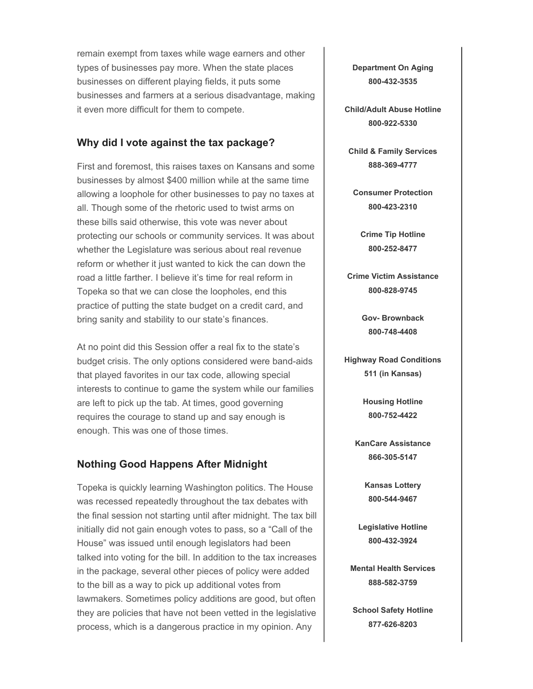remain exempt from taxes while wage earners and other types of businesses pay more. When the state places businesses on different playing fields, it puts some businesses and farmers at a serious disadvantage, making it even more difficult for them to compete.

## **Why did I vote against the tax package?**

First and foremost, this raises taxes on Kansans and some businesses by almost \$400 million while at the same time allowing a loophole for other businesses to pay no taxes at all. Though some of the rhetoric used to twist arms on these bills said otherwise, this vote was never about protecting our schools or community services. It was about whether the Legislature was serious about real revenue reform or whether it just wanted to kick the can down the road a little farther. I believe it's time for real reform in Topeka so that we can close the loopholes, end this practice of putting the state budget on a credit card, and bring sanity and stability to our state's finances.

At no point did this Session offer a real fix to the state's budget crisis. The only options considered were band-aids that played favorites in our tax code, allowing special interests to continue to game the system while our families are left to pick up the tab. At times, good governing requires the courage to stand up and say enough is enough. This was one of those times.

## **Nothing Good Happens After Midnight**

Topeka is quickly learning Washington politics. The House was recessed repeatedly throughout the tax debates with the final session not starting until after midnight. The tax bill initially did not gain enough votes to pass, so a "Call of the House" was issued until enough legislators had been talked into voting for the bill. In addition to the tax increases in the package, several other pieces of policy were added to the bill as a way to pick up additional votes from lawmakers. Sometimes policy additions are good, but often they are policies that have not been vetted in the legislative process, which is a dangerous practice in my opinion. Any

**Department On Aging 800-432-3535**

**Child/Adult Abuse Hotline 800-922-5330**

**Child & Family Services 888-369-4777**

**Consumer Protection 800-423-2310**

**Crime Tip Hotline 800-252-8477**

**Crime Victim Assistance 800-828-9745**

> **Gov- Brownback 800-748-4408**

**Highway Road Conditions 511 (in Kansas)**

> **Housing Hotline 800-752-4422**

**KanCare Assistance 866-305-5147**

> **Kansas Lottery 800-544-9467**

**Legislative Hotline 800-432-3924**

**Mental Health Services 888-582-3759**

**School Safety Hotline 877-626-8203**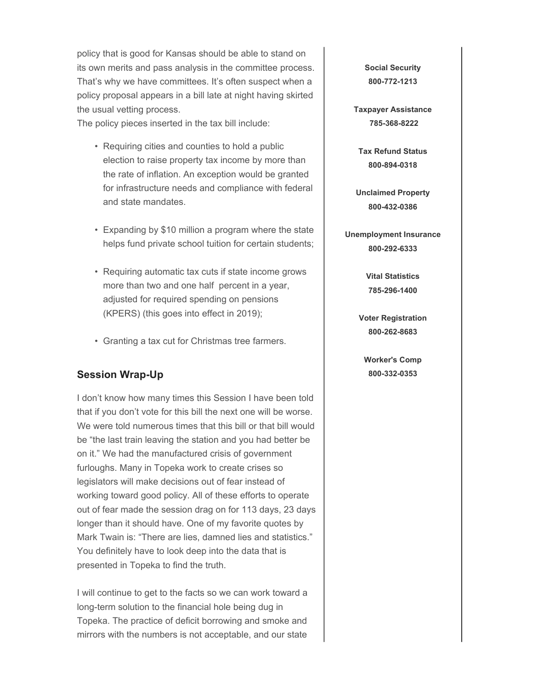policy that is good for Kansas should be able to stand on its own merits and pass analysis in the committee process. That's why we have committees. It's often suspect when a policy proposal appears in a bill late at night having skirted the usual vetting process.

The policy pieces inserted in the tax bill include:

- Requiring cities and counties to hold a public election to raise property tax income by more than the rate of inflation. An exception would be granted for infrastructure needs and compliance with federal and state mandates.
- Expanding by \$10 million a program where the state helps fund private school tuition for certain students;
- Requiring automatic tax cuts if state income grows more than two and one half percent in a year, adjusted for required spending on pensions (KPERS) (this goes into effect in 2019);
- Granting a tax cut for Christmas tree farmers.

## **Session Wrap-Up**

I don't know how many times this Session I have been told that if you don't vote for this bill the next one will be worse. We were told numerous times that this bill or that bill would be "the last train leaving the station and you had better be on it." We had the manufactured crisis of government furloughs. Many in Topeka work to create crises so legislators will make decisions out of fear instead of working toward good policy. All of these efforts to operate out of fear made the session drag on for 113 days, 23 days longer than it should have. One of my favorite quotes by Mark Twain is: "There are lies, damned lies and statistics." You definitely have to look deep into the data that is presented in Topeka to find the truth.

I will continue to get to the facts so we can work toward a long-term solution to the financial hole being dug in Topeka. The practice of deficit borrowing and smoke and mirrors with the numbers is not acceptable, and our state

**Social Security 800-772-1213**

**Taxpayer Assistance 785-368-8222**

**Tax Refund Status 800-894-0318**

**Unclaimed Property 800-432-0386**

**Unemployment Insurance 800-292-6333**

> **Vital Statistics 785-296-1400**

**Voter Registration 800-262-8683**

**Worker's Comp 800-332-0353**